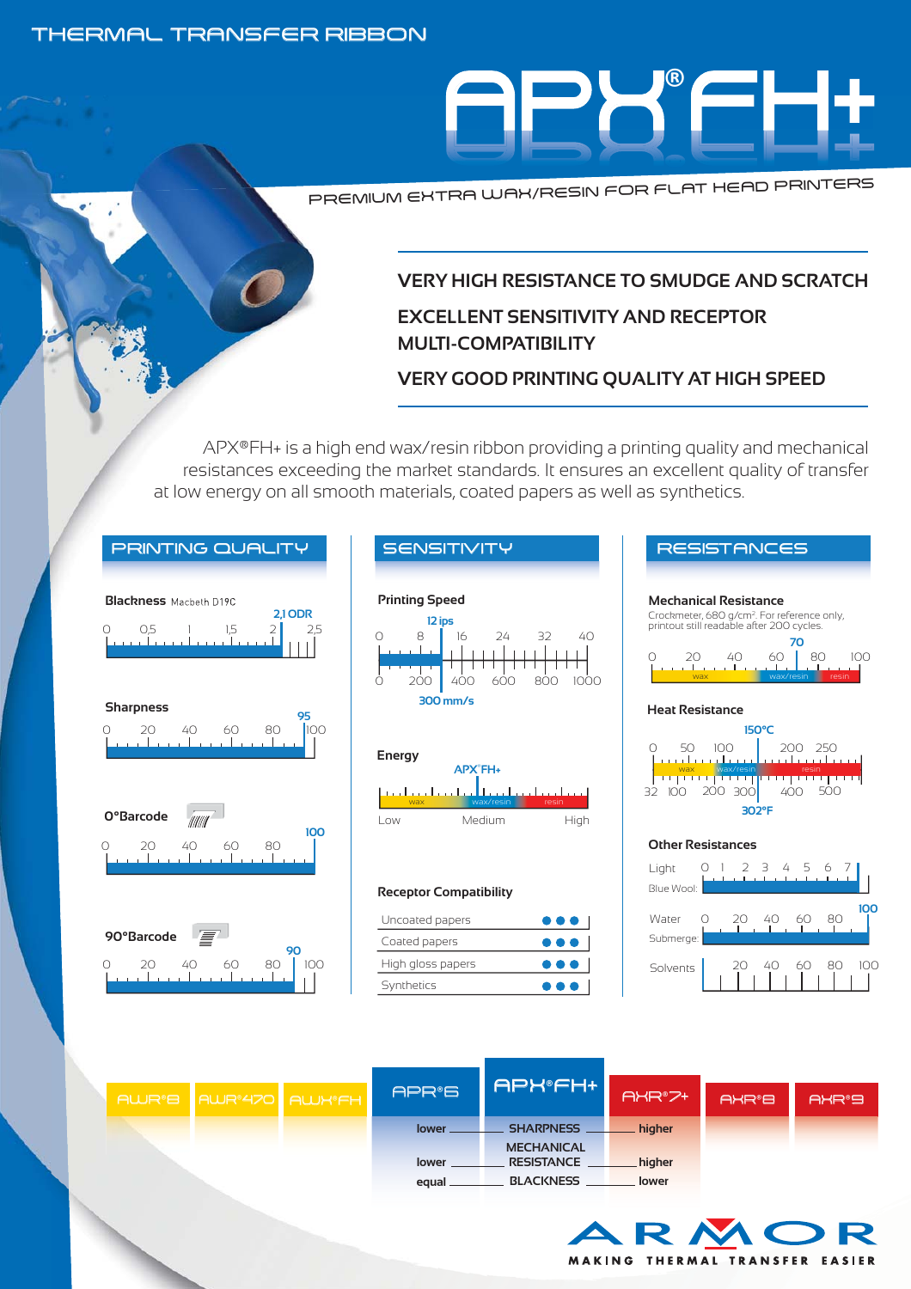## THERMAL TRANSFER RIBBON



PREMIUM EXTRA WAX/RESIN FOR FLAT HEAD PRINTERS

# **VERY HIGH RESISTANCE TO SMUDGE AND SCRATCH**

# **EXCELLENT SENSITIVITY AND RECEPTOR MULTI-COMPATIBILITY**

# **VERY GOOD PRINTING QUALITY AT HIGH SPEED**

APX®FH+ is a high end wax/resin ribbon providing a printing quality and mechanical resistances exceeding the market standards. It ensures an excellent quality of transfer at low energy on all smooth materials, coated papers as well as synthetics.







#### **Receptor Compatibility**

| Uncoated papers   | $\bullet\bullet\bullet$ l |
|-------------------|---------------------------|
| Coated papers     | $\bullet\bullet\bullet$   |
| High gloss papers | $\bullet\bullet\bullet$   |
| Synthetics        | $\bullet\bullet\bullet$   |

| RESIS I HIVLES                                                                                                                      |
|-------------------------------------------------------------------------------------------------------------------------------------|
| Mechanical Resistance<br>Crockmeter, 680 g/cm <sup>2</sup> . For reference only,<br>printout still readable after 200 cycles.<br>70 |
| 60<br>80<br>40<br>IOO<br>$\sim$ $\sim$ 1<br>wax/resin                                                                               |
| Heat Resistance<br>150°C<br>200 250<br>$100 -$<br>50.<br>32 10<br>20<br>40(<br>302°F                                                |
| <b>Other Resistances</b>                                                                                                            |
| Light<br>سيستثنث<br>Blue Wool:                                                                                                      |

| Water<br>Submerge: |  | ⊿∩ |  |  |
|--------------------|--|----|--|--|
| Solvents           |  |    |  |  |

|  | AWR®B AWR®470 AWK®FH | APR <sup>®</sup> 5 | <b>APHOFH+</b>    | AXR®7+ | AXR <sup>®</sup> B | AXR <sup>®</sup> 9 |  |
|--|----------------------|--------------------|-------------------|--------|--------------------|--------------------|--|
|  |                      | lower              | <b>SHARPNESS</b>  | higher |                    |                    |  |
|  |                      |                    | <b>MECHANICAL</b> |        |                    |                    |  |
|  |                      | lower              | <b>RESISTANCE</b> | higher |                    |                    |  |
|  |                      | equal              | <b>BLACKNESS</b>  | lower  |                    |                    |  |